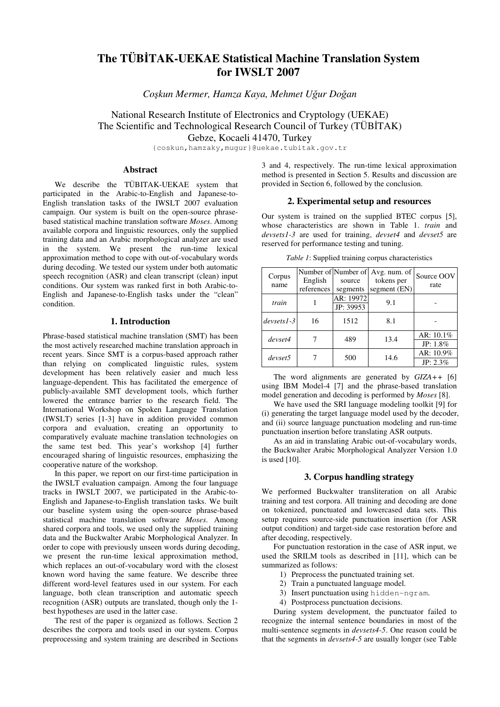# **The TÜB**İ**TAK-UEKAE Statistical Machine Translation System for IWSLT 2007**

*Co*ş*kun Mermer, Hamza Kaya, Mehmet U*ğ*ur Do*ğ*an* 

National Research Institute of Electronics and Cryptology (UEKAE) The Scientific and Technological Research Council of Turkey (TÜBİTAK) Gebze, Kocaeli 41470, Turkey

{coskun,hamzaky,mugur}@uekae.tubitak.gov.tr

## **Abstract**

We describe the TÜBITAK-UEKAE system that participated in the Arabic-to-English and Japanese-to-English translation tasks of the IWSLT 2007 evaluation campaign. Our system is built on the open-source phrasebased statistical machine translation software *Moses*. Among available corpora and linguistic resources, only the supplied training data and an Arabic morphological analyzer are used in the system. We present the run-time lexical approximation method to cope with out-of-vocabulary words during decoding. We tested our system under both automatic speech recognition (ASR) and clean transcript (clean) input conditions. Our system was ranked first in both Arabic-to-English and Japanese-to-English tasks under the "clean" condition.

# **1. Introduction**

Phrase-based statistical machine translation (SMT) has been the most actively researched machine translation approach in recent years. Since SMT is a corpus-based approach rather than relying on complicated linguistic rules, system development has been relatively easier and much less language-dependent. This has facilitated the emergence of publicly-available SMT development tools, which further lowered the entrance barrier to the research field. The International Workshop on Spoken Language Translation (IWSLT) series [1-3] have in addition provided common corpora and evaluation, creating an opportunity to comparatively evaluate machine translation technologies on the same test bed. This year's workshop [4] further encouraged sharing of linguistic resources, emphasizing the cooperative nature of the workshop.

In this paper, we report on our first-time participation in the IWSLT evaluation campaign. Among the four language tracks in IWSLT 2007, we participated in the Arabic-to-English and Japanese-to-English translation tasks. We built our baseline system using the open-source phrase-based statistical machine translation software *Moses*. Among shared corpora and tools, we used only the supplied training data and the Buckwalter Arabic Morphological Analyzer. In order to cope with previously unseen words during decoding, we present the run-time lexical approximation method, which replaces an out-of-vocabulary word with the closest known word having the same feature. We describe three different word-level features used in our system. For each language, both clean transcription and automatic speech recognition (ASR) outputs are translated, though only the 1 best hypotheses are used in the latter case.

The rest of the paper is organized as follows. Section 2 describes the corpora and tools used in our system. Corpus preprocessing and system training are described in Sections

3 and 4, respectively. The run-time lexical approximation method is presented in Section 5. Results and discussion are provided in Section 6, followed by the conclusion.

#### **2. Experimental setup and resources**

Our system is trained on the supplied BTEC corpus [5], whose characteristics are shown in Table 1. *train* and *devsets1-3* are used for training, *devset4* and *devset5* are reserved for performance testing and tuning.

|  |  | Table 1: Supplied training corpus characteristics |  |
|--|--|---------------------------------------------------|--|
|  |  |                                                   |  |

| Corpus<br>name | English<br>references | source<br>segments     | Number of Number of Avg. num. of<br>tokens per<br>segment (EN) | Source OOV<br>rate          |
|----------------|-----------------------|------------------------|----------------------------------------------------------------|-----------------------------|
| train          |                       | AR: 19972<br>JP: 39953 | 9.1                                                            |                             |
| $devsets1-3$   | 16                    | 1512                   | 8.1                                                            |                             |
| devset4        |                       | 489                    | 13.4                                                           | AR: $10.1\%$<br>JP: $1.8\%$ |
| devset5        |                       | 500                    | 14.6                                                           | AR: 10.9%<br>$JP: 2.3\%$    |

The word alignments are generated by *GIZA++* [6] using IBM Model-4 [7] and the phrase-based translation model generation and decoding is performed by *Moses* [8].

We have used the SRI language modeling toolkit [9] for (i) generating the target language model used by the decoder, and (ii) source language punctuation modeling and run-time punctuation insertion before translating ASR outputs.

As an aid in translating Arabic out-of-vocabulary words, the Buckwalter Arabic Morphological Analyzer Version 1.0 is used [10].

# **3. Corpus handling strategy**

We performed Buckwalter transliteration on all Arabic training and test corpora. All training and decoding are done on tokenized, punctuated and lowercased data sets. This setup requires source-side punctuation insertion (for ASR output condition) and target-side case restoration before and after decoding, respectively.

For punctuation restoration in the case of ASR input, we used the SRILM tools as described in [11], which can be summarized as follows:

- 1) Preprocess the punctuated training set.
- 2) Train a punctuated language model.
- 3) Insert punctuation using hidden-ngram.
- 4) Postprocess punctuation decisions.

During system development, the punctuator failed to recognize the internal sentence boundaries in most of the multi-sentence segments in *devsets4-5*. One reason could be that the segments in *devsets4-5* are usually longer (see Table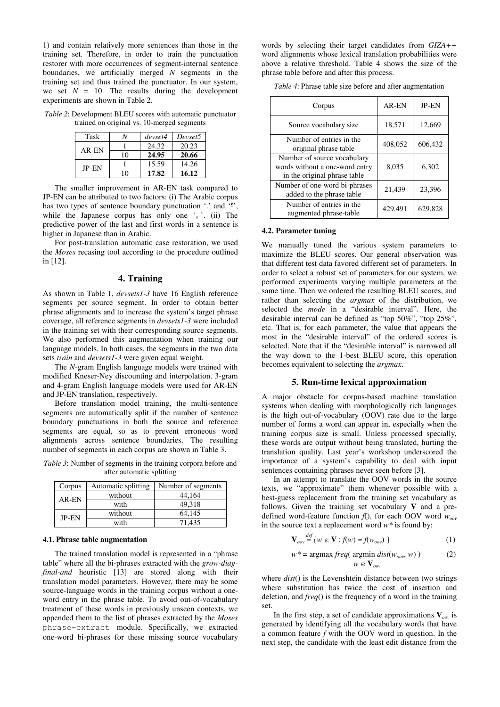1) and contain relatively more sentences than those in the training set. Therefore, in order to train the punctuation restorer with more occurrences of segment-internal sentence boundaries, we artificially merged *N* segments in the training set and thus trained the punctuator. In our system, we set  $N = 10$ . The results during the development experiments are shown in Table 2.

*Table 2*: Development BLEU scores with automatic punctuator trained on original vs. 10-merged segments

| Task         |    | devset4 | Devset5 |
|--------------|----|---------|---------|
| AR-EN        |    | 24.32   | 20.23   |
|              | 10 | 24.95   | 20.66   |
| <b>IP-EN</b> |    | 15.59   | 14.26   |
|              |    | 17.82   | 16.12   |

The smaller improvement in AR-EN task compared to JP-EN can be attributed to two factors: (i) The Arabic corpus has two types of sentence boundary punctuation '.' and '?', while the Japanese corpus has only one  $\cdot$  '. (ii) The predictive power of the last and first words in a sentence is higher in Japanese than in Arabic.

For post-translation automatic case restoration, we used the *Moses* recasing tool according to the procedure outlined in [12].

## **4. Training**

As shown in Table 1, *devsets1-3* have 16 English reference segments per source segment. In order to obtain better phrase alignments and to increase the system's target phrase coverage, all reference segments in *devsets1-3* were included in the training set with their corresponding source segments. We also performed this augmentation when training our language models. In both cases, the segments in the two data sets *train* and *devsets1-3* were given equal weight.

The *N*-gram English language models were trained with modified Kneser-Ney discounting and interpolation. 3-gram and 4-gram English language models were used for AR-EN and JP-EN translation, respectively.

Before translation model training, the multi-sentence segments are automatically split if the number of sentence boundary punctuations in both the source and reference segments are equal, so as to prevent erroneous word alignments across sentence boundaries. The resulting number of segments in each corpus are shown in Table 3.

*Table 3*: Number of segments in the training corpora before and after automatic splitting

| Corpus | Automatic splitting | Number of segments |
|--------|---------------------|--------------------|
| AR-EN  | without             | 44.164             |
|        | with                | 49,318             |
| JP-EN  | without             | 64.145             |
|        | with                | 71.435             |

#### **4.1. Phrase table augmentation**

The trained translation model is represented in a "phrase table" where all the bi-phrases extracted with the *grow-diagfinal-and* heuristic [13] are stored along with their translation model parameters. However, there may be some source-language words in the training corpus without a oneword entry in the phrase table. To avoid out-of-vocabulary treatment of these words in previously unseen contexts, we appended them to the list of phrases extracted by the *Moses* phrase-extract module. Specifically, we extracted one-word bi-phrases for these missing source vocabulary words by selecting their target candidates from *GIZA++*  word alignments whose lexical translation probabilities were above a relative threshold. Table 4 shows the size of the phrase table before and after this process.

*Table 4*: Phrase table size before and after augmentation

| Corpus                                                                                        | AR-EN   | <b>JP-EN</b> |
|-----------------------------------------------------------------------------------------------|---------|--------------|
| Source vocabulary size                                                                        | 18,571  | 12,669       |
| Number of entries in the<br>original phrase table                                             | 408,052 | 606,432      |
| Number of source vocabulary<br>words without a one-word entry<br>in the original phrase table | 8,035   | 6,302        |
| Number of one-word bi-phrases<br>added to the phrase table                                    | 21,439  | 23,396       |
| Number of entries in the<br>augmented phrase-table                                            | 429,491 | 629.828      |

#### **4.2. Parameter tuning**

We manually tuned the various system parameters to maximize the BLEU scores. Our general observation was that different test data favored different set of parameters. In order to select a robust set of parameters for our system, we performed experiments varying multiple parameters at the same time. Then we ordered the resulting BLEU scores, and rather than selecting the *argmax* of the distribution, we selected the *mode* in a "desirable interval". Here, the desirable interval can be defined as "top 50%", "top 25%", etc. That is, for each parameter, the value that appears the most in the "desirable interval" of the ordered scores is selected. Note that if the "desirable interval" is narrowed all the way down to the 1-best BLEU score, this operation becomes equivalent to selecting the *argmax*.

#### **5. Run-time lexical approximation**

A major obstacle for corpus-based machine translation systems when dealing with morphologically rich languages is the high out-of-vocabulary (OOV) rate due to the large number of forms a word can appear in, especially when the training corpus size is small. Unless processed specially, these words are output without being translated, hurting the translation quality. Last year's workshop underscored the importance of a system's capability to deal with input sentences containing phrases never seen before [3].

In an attempt to translate the OOV words in the source texts, we "approximate" them whenever possible with a best-guess replacement from the training set vocabulary as follows. Given the training set vocabulary **V** and a predefined word-feature function *f*(), for each OOV word *woov* in the source text a replacement word *w\** is found by:

$$
\mathbf{V}_{ov} \stackrel{def}{=} \{ w \in \mathbf{V} : f(w) = f(w_{ov}) \}
$$
 (1)

$$
w^* = \operatorname{argmax} \frac{freq(\operatorname{argmin} \frac{dist(w_{oov}, w)}{w \in \mathbf{V}_{cov}})}{(w \in \mathbf{V}_{cov})}
$$
 (2)

where 
$$
dist()
$$
 is the Levenshtein distance between two strings where substitution has twice the cost of insertion and

deletion, and *freq*() is the frequency of a word in the training set. In the first step, a set of candidate approximations  $V_{\text{ow}}$  is

generated by identifying all the vocabulary words that have a common feature *f* with the OOV word in question. In the next step, the candidate with the least edit distance from the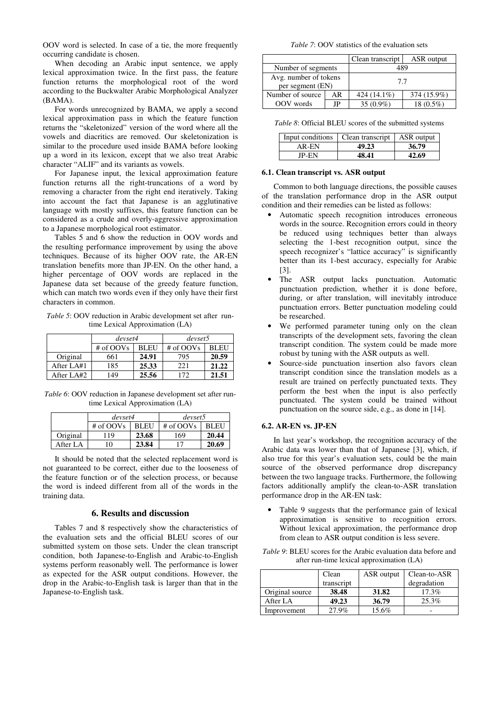OOV word is selected. In case of a tie, the more frequently occurring candidate is chosen.

When decoding an Arabic input sentence, we apply lexical approximation twice. In the first pass, the feature function returns the morphological root of the word according to the Buckwalter Arabic Morphological Analyzer (BAMA).

For words unrecognized by BAMA, we apply a second lexical approximation pass in which the feature function returns the "skeletonized" version of the word where all the vowels and diacritics are removed. Our skeletonization is similar to the procedure used inside BAMA before looking up a word in its lexicon, except that we also treat Arabic character "ALIF" and its variants as vowels.

For Japanese input, the lexical approximation feature function returns all the right-truncations of a word by removing a character from the right end iteratively. Taking into account the fact that Japanese is an agglutinative language with mostly suffixes, this feature function can be considered as a crude and overly-aggressive approximation to a Japanese morphological root estimator.

Tables 5 and 6 show the reduction in OOV words and the resulting performance improvement by using the above techniques. Because of its higher OOV rate, the AR-EN translation benefits more than JP-EN. On the other hand, a higher percentage of OOV words are replaced in the Japanese data set because of the greedy feature function, which can match two words even if they only have their first characters in common.

*Table 5*: OOV reduction in Arabic development set after runtime Lexical Approximation (LA)

|            | devset4   |             | devset5     |             |  |
|------------|-----------|-------------|-------------|-------------|--|
|            | # of OOVs | <b>BLEU</b> | $#$ of OOVs | <b>BLEU</b> |  |
| Original   | 661       | 24.91       | 795         | 20.59       |  |
| After LA#1 | 185       | 25.33       | 221         | 21.22       |  |
| After LA#2 | 149       | 25.56       | 172         | 21.51       |  |

*Table 6*: OOV reduction in Japanese development set after runtime Lexical Approximation (LA)

|          | devset4     |             | devset5   |             |  |
|----------|-------------|-------------|-----------|-------------|--|
|          | $#$ of OOVs | <b>BLEU</b> | # of OOVs | <b>BLEU</b> |  |
| Original | -19         | 23.68       | 169       | 20.44       |  |
| After LA | 10          | 23.84       |           | 20.69       |  |

It should be noted that the selected replacement word is not guaranteed to be correct, either due to the looseness of the feature function or of the selection process, or because the word is indeed different from all of the words in the training data.

## **6. Results and discussion**

Tables 7 and 8 respectively show the characteristics of the evaluation sets and the official BLEU scores of our submitted system on those sets. Under the clean transcript condition, both Japanese-to-English and Arabic-to-English systems perform reasonably well. The performance is lower as expected for the ASR output conditions. However, the drop in the Arabic-to-English task is larger than that in the Japanese-to-English task.

*Table 7*: OOV statistics of the evaluation sets

|                                           |    | Clean transcript | ASR output  |  |
|-------------------------------------------|----|------------------|-------------|--|
| Number of segments                        |    | 489              |             |  |
| Avg. number of tokens<br>per segment (EN) |    | 7.7              |             |  |
| Number of source                          | AR | 424 (14.1%)      | 374 (15.9%) |  |
| OOV words                                 | JP | 35 $(0.9\%)$     | 18 (0.5%)   |  |

*Table 8*: Official BLEU scores of the submitted systems

|       | Input conditions   Clean transcript | ASR output |
|-------|-------------------------------------|------------|
| AR-FN | 49.23                               | 36.79      |
| IP-EN | 48.41                               | 42.69      |

#### **6.1. Clean transcript vs. ASR output**

Common to both language directions, the possible causes of the translation performance drop in the ASR output condition and their remedies can be listed as follows:

- Automatic speech recognition introduces erroneous words in the source. Recognition errors could in theory be reduced using techniques better than always selecting the 1-best recognition output, since the speech recognizer's "lattice accuracy" is significantly better than its 1-best accuracy, especially for Arabic [3].
- The ASR output lacks punctuation. Automatic punctuation prediction, whether it is done before, during, or after translation, will inevitably introduce punctuation errors. Better punctuation modeling could be researched.
- We performed parameter tuning only on the clean transcripts of the development sets, favoring the clean transcript condition. The system could be made more robust by tuning with the ASR outputs as well.
- Source-side punctuation insertion also favors clean transcript condition since the translation models as a result are trained on perfectly punctuated texts. They perform the best when the input is also perfectly punctuated. The system could be trained without punctuation on the source side, e.g., as done in [14].

#### **6.2. AR-EN vs. JP-EN**

In last year's workshop, the recognition accuracy of the Arabic data was lower than that of Japanese [3], which, if also true for this year's evaluation sets, could be the main source of the observed performance drop discrepancy between the two language tracks. Furthermore, the following factors additionally amplify the clean-to-ASR translation performance drop in the AR-EN task:

Table 9 suggests that the performance gain of lexical approximation is sensitive to recognition errors. Without lexical approximation, the performance drop from clean to ASR output condition is less severe.

*Table 9*: BLEU scores for the Arabic evaluation data before and after run-time lexical approximation (LA)

|                 | Clean      | ASR output | Clean-to-ASR |
|-----------------|------------|------------|--------------|
|                 | transcript |            | degradation  |
| Original source | 38.48      | 31.82      | 17.3%        |
| After LA        | 49.23      | 36.79      | 25.3%        |
| Improvement     | 27.9%      | 15.6%      |              |